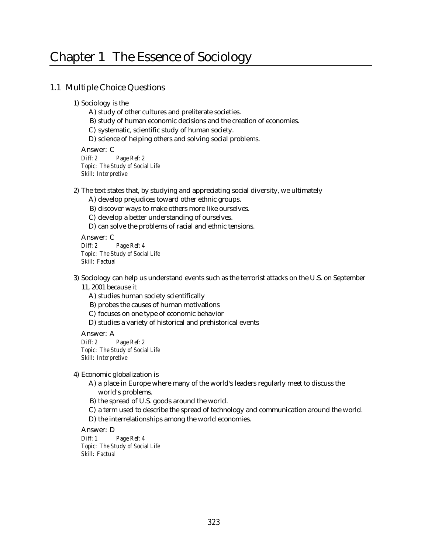# Chapter 1 The Essence of Sociology

## 1.1 Multiple Choice Questions

1) Sociology is the

- A) study of other cultures and preliterate societies.
- B) study of human economic decisions and the creation of economies.
- C) systematic, scientific study of human society.
- D) science of helping others and solving social problems.

Answer: C *Diff: 2 Page Ref: 2 Topic: The Study of Social Life Skill: Interpretive*

2) The text states that, by studying and appreciating social diversity, we ultimately

- A) develop prejudices toward other ethnic groups.
- B) discover ways to make others more like ourselves.
- C) develop a better understanding of ourselves.
- D) can solve the problems of racial and ethnic tensions.

Answer: C *Diff: 2 Page Ref: 4 Topic: The Study of Social Life Skill: Factual*

3) Sociology can help us understand events such as the terrorist attacks on the U.S. on September 11, 2001 because it

- A) studies human society scientifically
- B) probes the causes of human motivations
- C) focuses on one type of economic behavior
- D) studies a variety of historical and prehistorical events

Answer: A *Diff: 2 Page Ref: 2 Topic: The Study of Social Life Skill: Interpretive*

4) Economic globalization is

- A) a place in Europe where many of the world's leaders regularly meet to discuss the world's problems.
- B) the spread of U.S. goods around the world.
- C) a term used to describe the spread of technology and communication around the world.
- D) the interrelationships among the world economies.

Answer: D

*Diff: 1 Page Ref: 4 Topic: The Study of Social Life Skill: Factual*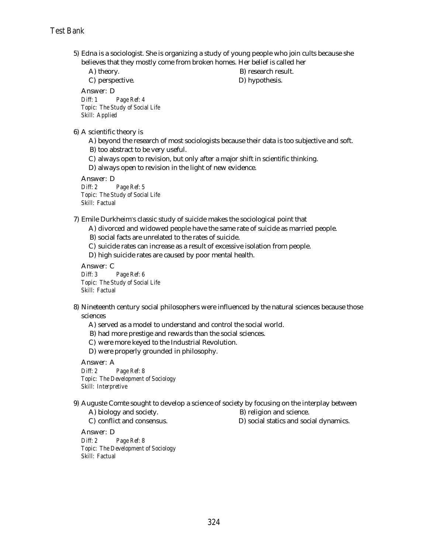5) Edna is a sociologist. She is organizing a study of young people who join cults because she believes that they mostly come from broken homes. Her belief is called her

A) theory. B) research result.

C) perspective. D) hypothesis.

Answer: D *Diff: 1 Page Ref: 4*

*Topic: The Study of Social Life Skill: Applied*

6) A scientific theory is

A) beyond the research of most sociologists because their data is too subjective and soft.

B) too abstract to be very useful.

C) always open to revision, but only after a major shift in scientific thinking.

D) always open to revision in the light of new evidence.

Answer: D

*Diff: 2 Page Ref: 5 Topic: The Study of Social Life Skill: Factual*

7) Emile Durkheim s classic study of suicide makes the sociological point that

A) divorced and widowed people have the same rate of suicide as married people.

B) social facts are unrelated to the rates of suicide.

C) suicide rates can increase as a result of excessive isolation from people.

D) high suicide rates are caused by poor mental health.

Answer: C *Diff: 3 Page Ref: 6 Topic: The Study of Social Life Skill: Factual*

8) Nineteenth century social philosophers were influenced by the natural sciences because those sciences

A) served as a model to understand and control the social world.

B) had more prestige and rewards than the social sciences.

C) were more keyed to the Industrial Revolution.

D) were properly grounded in philosophy.

Answer: A

*Diff: 2 Page Ref: 8 Topic: The Development of Sociology Skill: Interpretive*

9) Auguste Comte sought to develop a science of society by focusing on the interplay between

A) biology and society. B) religion and science.

C) conflict and consensus. D) social statics and social dynamics.

Answer: D *Diff: 2 Page Ref: 8 Topic: The Development of Sociology Skill: Factual*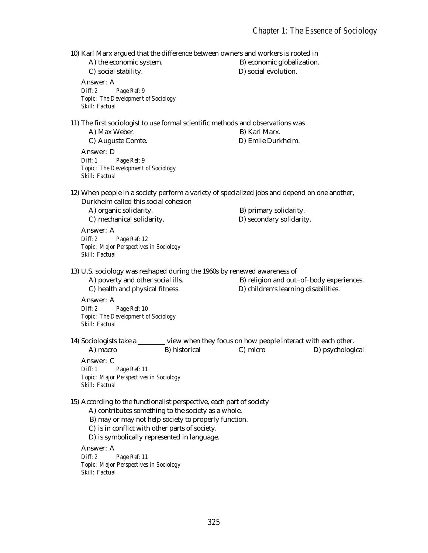10) Karl Marx argued that the difference between owners and workers is rooted in

A) the economic system. B) economic globalization. C) social stability. D) social evolution. Answer: A *Diff: 2 Page Ref: 9 Topic: The Development of Sociology Skill: Factual* 11) The first sociologist to use formal scientific methods and observations was A) Max Weber. B) Karl Marx. C) Auguste Comte. D) Emile Durkheim. Answer: D *Diff: 1 Page Ref: 9 Topic: The Development of Sociology Skill: Factual* 12) When people in a society perform a variety of specialized jobs and depend on one another, Durkheim called this social cohesion A) organic solidarity. B) primary solidarity. C) mechanical solidarity. D) secondary solidarity. Answer: A *Diff: 2 Page Ref: 12 Topic: Major Perspectives in Sociology Skill: Factual* 13) U.S. sociology was reshaped during the 1960s by renewed awareness of A) poverty and other social ills. B) religion and out-of-body experiences. C) health and physical fitness. D) children's learning disabilities. Answer: A *Diff: 2 Page Ref: 10 Topic: The Development of Sociology Skill: Factual* 14) Sociologists take a \_\_\_\_\_\_\_\_ view when they focus on how people interact with each other. A) macro B) historical C) micro D) psychological Answer: C *Diff: 1 Page Ref: 11 Topic: Major Perspectives in Sociology Skill: Factual* 15) According to the functionalist perspective, each part of society A) contributes something to the society as a whole. B) may or may not help society to properly function. C) is in conflict with other parts of society. D) is symbolically represented in language. Answer: A *Diff: 2 Page Ref: 11 Topic: Major Perspectives in Sociology Skill: Factual*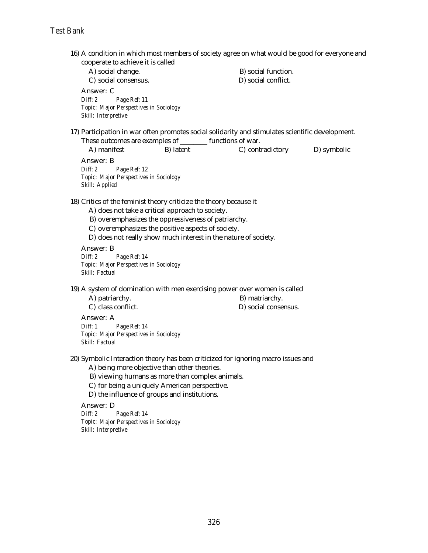16) A condition in which most members of society agree on what would be good for everyone and cooperate to achieve it is called

A) social change. B) social function. C) social consensus. D) social conflict. Answer: C *Diff: 2 Page Ref: 11 Topic: Major Perspectives in Sociology Skill: Interpretive*

17) Participation in war often promotes social solidarity and stimulates scientific development. These outcomes are examples of \_\_\_\_\_\_\_\_ functions of war.

A) manifest B) latent C) contradictory D) symbolic Answer: B

*Diff: 2 Page Ref: 12 Topic: Major Perspectives in Sociology Skill: Applied*

18) Critics of the feminist theory criticize the theory because it

- A) does not take a critical approach to society.
- B) overemphasizes the oppressiveness of patriarchy.
- C) overemphasizes the positive aspects of society.
- D) does not really show much interest in the nature of society.

Answer: B *Diff: 2 Page Ref: 14 Topic: Major Perspectives in Sociology Skill: Factual*

- 19) A system of domination with men exercising power over women is called
	- A) patriarchy. B) matriarchy.
	- C) class conflict. D) social consensus.

Answer: A

*Diff: 1 Page Ref: 14 Topic: Major Perspectives in Sociology Skill: Factual*

- 20) Symbolic Interaction theory has been criticized for ignoring macro issues and
	- A) being more objective than other theories.
	- B) viewing humans as more than complex animals.
	- C) for being a uniquely American perspective.
	- D) the influence of groups and institutions.

Answer: D

*Diff: 2 Page Ref: 14 Topic: Major Perspectives in Sociology Skill: Interpretive*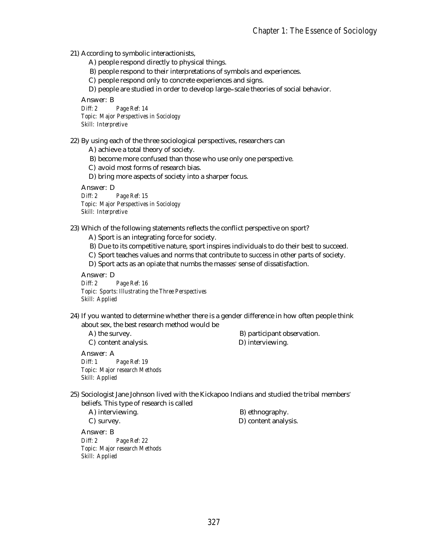21) According to symbolic interactionists,

- A) people respond directly to physical things.
- B) people respond to their interpretations of symbols and experiences.

C) people respond only to concrete experiences and signs.

D) people are studied in order to develop large-scale theories of social behavior.

Answer: B

*Diff: 2 Page Ref: 14 Topic: Major Perspectives in Sociology Skill: Interpretive*

22) By using each of the three sociological perspectives, researchers can

A) achieve a total theory of society.

- B) become more confused than those who use only one perspective.
- C) avoid most forms of research bias.

D) bring more aspects of society into a sharper focus.

Answer: D

*Diff: 2 Page Ref: 15 Topic: Major Perspectives in Sociology Skill: Interpretive*

- 23) Which of the following statements reflects the conflict perspective on sport?
	- A) Sport is an integrating force for society.
	- B) Due to its competitive nature, sport inspires individuals to do their best to succeed.
	- C) Sport teaches values and norms that contribute to success in other parts of society.
	- D) Sport acts as an opiate that numbs the masses' sense of dissatisfaction.

Answer: D

*Diff: 2 Page Ref: 16 Topic: Sports: Illustrating the Three Perspectives Skill: Applied*

24) If you wanted to determine whether there is a gender difference in how often people think about sex, the best research method would be

A) the survey. B) participant observation. C) content analysis. D) interviewing.

Answer: A *Diff: 1 Page Ref: 19 Topic: Major research Methods Skill: Applied*

25) Sociologist Jane Johnson lived with the Kickapoo Indians and studied the tribal members beliefs. This type of research is called

A) interviewing. B) ethnography.

C) survey. D) content analysis.

Answer: B *Diff: 2 Page Ref: 22 Topic: Major research Methods Skill: Applied*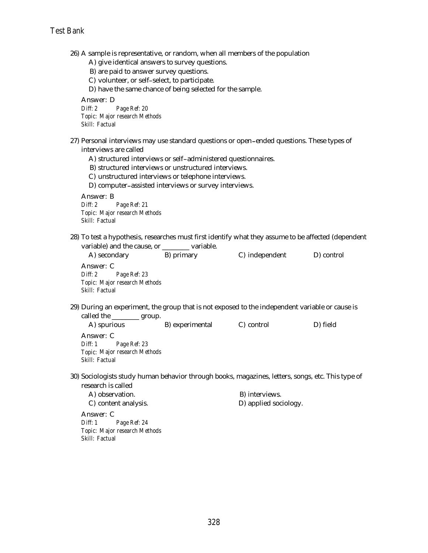26) A sample is representative, or random, when all members of the population

- A) give identical answers to survey questions.
- B) are paid to answer survey questions.
- C) volunteer, or self-select, to participate.

D) have the same chance of being selected for the sample.

Answer: D

*Diff: 2 Page Ref: 20 Topic: Major research Methods Skill: Factual*

- 27) Personal interviews may use standard questions or open ended questions. These types of interviews are called
	- A) structured interviews or self-administered questionnaires.
	- B) structured interviews or unstructured interviews.
	- C) unstructured interviews or telephone interviews.
	- D) computer assisted interviews or survey interviews.

Answer: B *Diff: 2 Page Ref: 21 Topic: Major research Methods Skill: Factual*

28) To test a hypothesis, researches must first identify what they assume to be affected (dependent variable) and the cause, or \_\_\_\_\_\_\_ variable.

| A) secondary                                                                                                                     | B) primary      | C) independent | D) control |  |
|----------------------------------------------------------------------------------------------------------------------------------|-----------------|----------------|------------|--|
| Answer: C<br>Diff: 2 Page Ref: 23<br>Topic: Major research Methods<br>Skill: Factual                                             |                 |                |            |  |
| 29) During an experiment, the group that is not exposed to the independent variable or cause is<br>called the ___________ group. |                 |                |            |  |
| A) spurious                                                                                                                      | B) experimental | C) control     | D) field   |  |
| Answer: C<br>Diff: 1 Page Ref: 23<br>Topic: Major research Methods<br>Skill: Factual                                             |                 |                |            |  |
| 30) Sociologists study human behavior through books, magazines, letters, songs, etc. This type of<br>research is called          |                 |                |            |  |

A) observation. B) interviews. C) content analysis. D) applied sociology.

Answer: C *Diff: 1 Page Ref: 24 Topic: Major research Methods Skill: Factual*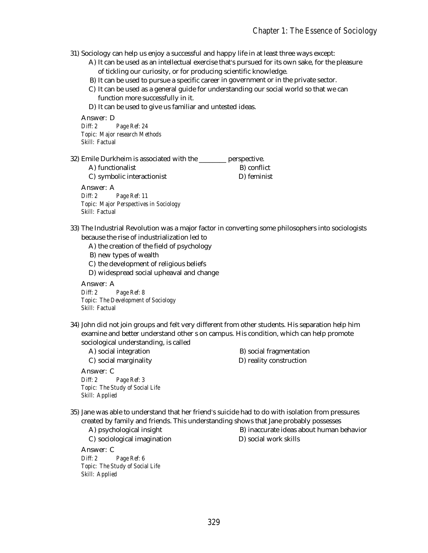31) Sociology can help us enjoy a successful and happy life in at least three ways except:

- A) It can be used as an intellectual exercise that's pursued for its own sake, for the pleasure of tickling our curiosity, or for producing scientific knowledge.
- B) It can be used to pursue a specific career in government or in the private sector.
- C) It can be used as a general guide for understanding our social world so that we can function more successfully in it.
- D) It can be used to give us familiar and untested ideas.

Answer: D *Diff: 2 Page Ref: 24 Topic: Major research Methods Skill: Factual*

32) Emile Durkheim is associated with the \_\_\_\_\_\_\_\_ perspective.

A) functionalist B) conflict C) symbolic interactionist D) feminist Answer: A *Diff: 2 Page Ref: 11 Topic: Major Perspectives in Sociology*

*Skill: Factual*

- 33) The Industrial Revolution was a major factor in converting some philosophers into sociologists because the rise of industrialization led to
	- A) the creation of the field of psychology
	- B) new types of wealth
	- C) the development of religious beliefs
	- D) widespread social upheaval and change

Answer: A *Diff: 2 Page Ref: 8*

*Topic: The Development of Sociology Skill: Factual*

34) John did not join groups and felt very different from other students. His separation help him examine and better understand other s on campus. His condition, which can help promote sociological understanding, is called

Answer: C *Diff: 2 Page Ref: 3 Topic: The Study of Social Life Skill: Applied*

A) social integration B) social fragmentation C) social marginality D) reality construction

35) Jane was able to understand that her friend s suicide had to do with isolation from pressures created by family and friends. This understanding shows that Jane probably possesses

C) sociological imagination D) social work skills Answer: C *Diff: 2 Page Ref: 6 Topic: The Study of Social Life*

*Skill: Applied*

A) psychological insight B) inaccurate ideas about human behavior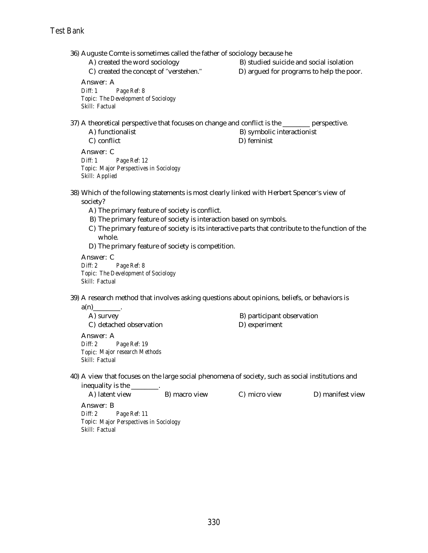36) Auguste Comte is sometimes called the father of sociology because he

A) created the word sociology B) studied suicide and social isolation

C) created the concept of "verstehen." D) argued for programs to help the poor.

Answer: A *Diff: 1 Page Ref: 8 Topic: The Development of Sociology Skill: Factual*

37) A theoretical perspective that focuses on change and conflict is the \_\_\_\_\_\_\_\_ perspective.

A) functionalist B) symbolic interactionist C) conflict D) feminist Answer: C *Diff: 1 Page Ref: 12 Topic: Major Perspectives in Sociology Skill: Applied*

- 38) Which of the following statements is most clearly linked with Herbert Spencer's view of society?
	- A) The primary feature of society is conflict.
	- B) The primary feature of society is interaction based on symbols.
	- C) The primary feature of society is its interactive parts that contribute to the function of the whole.
	- D) The primary feature of society is competition.

Answer: C *Diff: 2 Page Ref: 8 Topic: The Development of Sociology Skill: Factual*

39) A research method that involves asking questions about opinions, beliefs, or behaviors is

 $a(n)$ A) survey B) participant observation C) detached observation D) experiment Answer: A *Diff: 2 Page Ref: 19 Topic: Major research Methods Skill: Factual*

40) A view that focuses on the large social phenomena of society, such as social institutions and inequality is the \_\_\_\_\_\_\_\_.

| A) latent view |              | B) macro view | C) micro view | D) manifest view |
|----------------|--------------|---------------|---------------|------------------|
| Answer: B      |              |               |               |                  |
| Diff: 2        | Page Ref: 11 |               |               |                  |
| $ -$           |              |               |               |                  |

*Topic: Major Perspectives in Sociology Skill: Factual*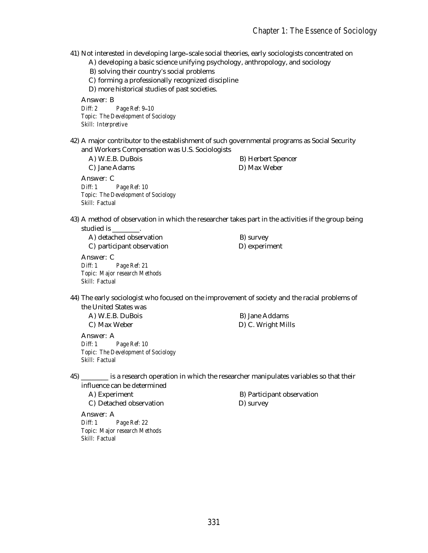41) Not interested in developing large scale social theories, early sociologists concentrated on

- A) developing a basic science unifying psychology, anthropology, and sociology
- B) solving their country s social problems
- C) forming a professionally recognized discipline
- D) more historical studies of past societies.

Answer: B *Diff: 2 Page Ref: 9 10 Topic: The Development of Sociology Skill: Interpretive*

42) A major contributor to the establishment of such governmental programs as Social Security and Workers Compensation was U.S. Sociologists

| $\frac{1}{2}$ and $\frac{1}{2}$ and $\frac{1}{2}$ and $\frac{1}{2}$ and $\frac{1}{2}$ and $\frac{1}{2}$ and $\frac{1}{2}$ and $\frac{1}{2}$ and $\frac{1}{2}$ and $\frac{1}{2}$ and $\frac{1}{2}$ and $\frac{1}{2}$ and $\frac{1}{2}$ and $\frac{1}{2}$ and $\frac{1}{2}$ and $\frac{1}{2}$ a |                |
|-----------------------------------------------------------------------------------------------------------------------------------------------------------------------------------------------------------------------------------------------------------------------------------------------|----------------|
| A) W.E.B. DuBois                                                                                                                                                                                                                                                                              | B) Herbert Spe |
| C) Jane Adams                                                                                                                                                                                                                                                                                 | D) Max Weber   |
| Answer: C                                                                                                                                                                                                                                                                                     |                |
|                                                                                                                                                                                                                                                                                               |                |

*Diff: 1 Page Ref: 10 Topic: The Development of Sociology Skill: Factual*

rt Spencer

43) A method of observation in which the researcher takes part in the activities if the group being studied is \_\_\_\_\_\_\_\_.

A) detached observation B) survey C) participant observation D) experiment Answer: C *Diff: 1 Page Ref: 21 Topic: Major research Methods Skill: Factual*

44) The early sociologist who focused on the improvement of society and the racial problems of the United States was

A) W.E.B. DuBois B) Jane Addams C) Max Weber D) C. Wright Mills Answer: A *Diff: 1 Page Ref: 10 Topic: The Development of Sociology Skill: Factual*

45) \_\_\_\_\_\_\_\_ is a research operation in which the researcher manipulates variables so that their influence can be determined

C) Detached observation D) survey Answer: A *Diff: 1 Page Ref: 22 Topic: Major research Methods Skill: Factual*

A) Experiment B) Participant observation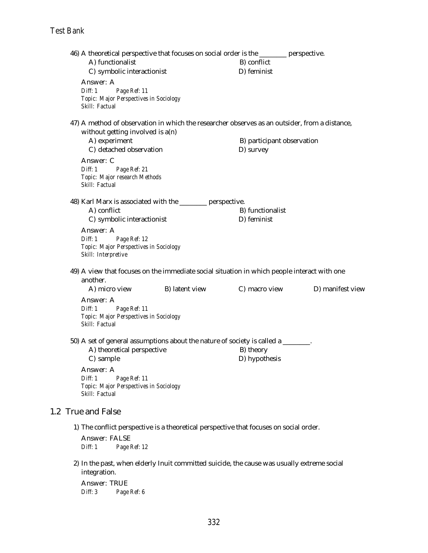$1.2$ 

| 46) A theoretical perspective that focuses on social order is the ________ perspective. |                                                                                            |                                                                                               |                            |                  |  |
|-----------------------------------------------------------------------------------------|--------------------------------------------------------------------------------------------|-----------------------------------------------------------------------------------------------|----------------------------|------------------|--|
| A) functionalist                                                                        |                                                                                            |                                                                                               | B) conflict                |                  |  |
|                                                                                         | C) symbolic interactionist                                                                 |                                                                                               | D) feminist                |                  |  |
| Answer: A<br>Diff: 1                                                                    | Page Ref: 11<br><b>Topic: Major Perspectives in Sociology</b>                              |                                                                                               |                            |                  |  |
| Skill: Factual                                                                          |                                                                                            |                                                                                               |                            |                  |  |
|                                                                                         |                                                                                            | 47) A method of observation in which the researcher observes as an outsider, from a distance, |                            |                  |  |
|                                                                                         | without getting involved is $a(n)$                                                         |                                                                                               |                            |                  |  |
| A) experiment                                                                           |                                                                                            |                                                                                               | B) participant observation |                  |  |
|                                                                                         | C) detached observation                                                                    |                                                                                               | D) survey                  |                  |  |
| Answer: C                                                                               |                                                                                            |                                                                                               |                            |                  |  |
| Diff: 1                                                                                 | Page Ref: 21                                                                               |                                                                                               |                            |                  |  |
| Skill: Factual                                                                          | Topic: Major research Methods                                                              |                                                                                               |                            |                  |  |
|                                                                                         |                                                                                            |                                                                                               |                            |                  |  |
|                                                                                         |                                                                                            | 48) Karl Marx is associated with the _______ perspective.                                     |                            |                  |  |
| A) conflict                                                                             |                                                                                            |                                                                                               | B) functionalist           |                  |  |
|                                                                                         | C) symbolic interactionist                                                                 |                                                                                               | D) feminist                |                  |  |
| Answer: A<br>Diff: 1<br>Skill: Interpretive                                             | Page Ref: 12<br><b>Topic: Major Perspectives in Sociology</b>                              |                                                                                               |                            |                  |  |
|                                                                                         |                                                                                            |                                                                                               |                            |                  |  |
|                                                                                         |                                                                                            | 49) A view that focuses on the immediate social situation in which people interact with one   |                            |                  |  |
| another.<br>A) micro view                                                               |                                                                                            | B) latent view                                                                                | C) macro view              | D) manifest view |  |
|                                                                                         |                                                                                            |                                                                                               |                            |                  |  |
| Answer: A<br>Diff: 1                                                                    | Page Ref: 11                                                                               |                                                                                               |                            |                  |  |
|                                                                                         | Topic: Major Perspectives in Sociology                                                     |                                                                                               |                            |                  |  |
| Skill: Factual                                                                          |                                                                                            |                                                                                               |                            |                  |  |
|                                                                                         |                                                                                            |                                                                                               |                            |                  |  |
|                                                                                         | A) theoretical perspective                                                                 | 50) A set of general assumptions about the nature of society is called a _______.             | B) theory                  |                  |  |
| C) sample                                                                               |                                                                                            |                                                                                               | D) hypothesis              |                  |  |
| Answer: A                                                                               |                                                                                            |                                                                                               |                            |                  |  |
| Diff: 1                                                                                 | Page Ref: 11                                                                               |                                                                                               |                            |                  |  |
|                                                                                         | Topic: Major Perspectives in Sociology                                                     |                                                                                               |                            |                  |  |
| Skill: Factual                                                                          |                                                                                            |                                                                                               |                            |                  |  |
| <b>True and False</b>                                                                   |                                                                                            |                                                                                               |                            |                  |  |
|                                                                                         |                                                                                            | 1) The conflict perspective is a theoretical perspective that focuses on social order.        |                            |                  |  |
| Answer: FALSE                                                                           |                                                                                            |                                                                                               |                            |                  |  |
| Diff: 1                                                                                 | Page Ref: 12                                                                               |                                                                                               |                            |                  |  |
| integration.                                                                            | 2) In the past, when elderly Inuit committed suicide, the cause was usually extreme social |                                                                                               |                            |                  |  |
| Answer: TRUE                                                                            |                                                                                            |                                                                                               |                            |                  |  |
| Diff: 3                                                                                 | Page Ref: 6                                                                                |                                                                                               |                            |                  |  |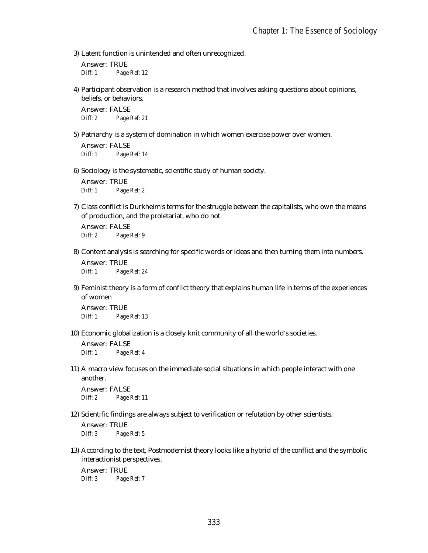3) Latent function is unintended and often unrecognized.

Answer: TRUE *Diff: 1 Page Ref: 12*

4) Participant observation is a research method that involves asking questions about opinions, beliefs, or behaviors.

Answer: FALSE *Diff: 2 Page Ref: 21*

5) Patriarchy is a system of domination in which women exercise power over women.

Answer: FALSE *Diff: 1 Page Ref: 14*

6) Sociology is the systematic, scientific study of human society.

Answer: TRUE *Diff: 1 Page Ref: 2*

7) Class conflict is Durkheim's terms for the struggle between the capitalists, who own the means of production, and the proletariat, who do not.

Answer: FALSE *Diff: 2 Page Ref: 9*

- 8) Content analysis is searching for specific words or ideas and then turning them into numbers. Answer: TRUE *Diff: 1 Page Ref: 24*
- 9) Feminist theory is a form of conflict theory that explains human life in terms of the experiences of women

Answer: TRUE *Diff: 1 Page Ref: 13*

10) Economic globalization is a closely knit community of all the world's societies.

Answer: FALSE *Diff: 1 Page Ref: 4*

11) A macro view focuses on the immediate social situations in which people interact with one another.

Answer: FALSE *Diff: 2 Page Ref: 11*

12) Scientific findings are always subject to verification or refutation by other scientists.

Answer: TRUE *Diff: 3 Page Ref: 5*

13) According to the text, Postmodernist theory looks like a hybrid of the conflict and the symbolic interactionist perspectives.

Answer: TRUE *Diff: 3 Page Ref: 7*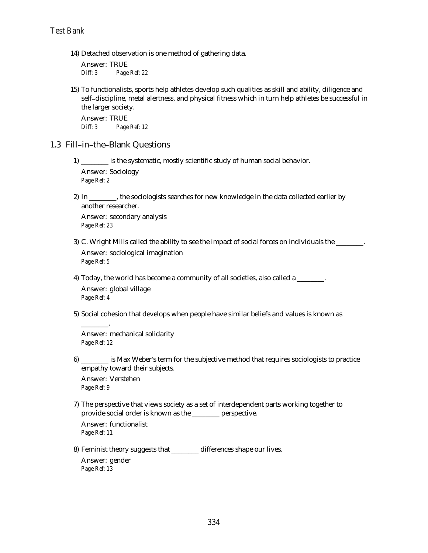14) Detached observation is one method of gathering data.

Answer: TRUE *Diff: 3 Page Ref: 22*

15) To functionalists, sports help athletes develop such qualities as skill and ability, diligence and self discipline, metal alertness, and physical fitness which in turn help athletes be successful in the larger society.

Answer: TRUE *Diff: 3 Page Ref: 12*

#### 1.3 Fill-in-the-Blank Questions

- 1) \_\_\_\_\_\_\_\_ is the systematic, mostly scientific study of human social behavior. Answer: Sociology *Page Ref: 2*
- 2) In \_\_\_\_\_\_\_, the sociologists searches for new knowledge in the data collected earlier by another researcher.

Answer: secondary analysis *Page Ref: 23*

- 3) C. Wright Mills called the ability to see the impact of social forces on individuals the \_\_\_\_\_\_\_\_. Answer: sociological imagination *Page Ref: 5*
- 4) Today, the world has become a community of all societies, also called a \_\_\_\_\_\_\_\_. Answer: global village *Page Ref: 4*
- 5) Social cohesion that develops when people have similar beliefs and values is known as

Answer: mechanical solidarity *Page Ref: 12*

6) \_\_\_\_\_\_\_\_ is Max Weber s term for the subjective method that requires sociologists to practice empathy toward their subjects.

Answer: Verstehen *Page Ref: 9*

\_\_\_\_\_\_\_\_.

7) The perspective that views society as a set of interdependent parts working together to provide social order is known as the \_\_\_\_\_\_\_\_ perspective. Answer: functionalist

*Page Ref: 11*

8) Feminist theory suggests that \_\_\_\_\_\_\_\_ differences shape our lives.

Answer: gender *Page Ref: 13*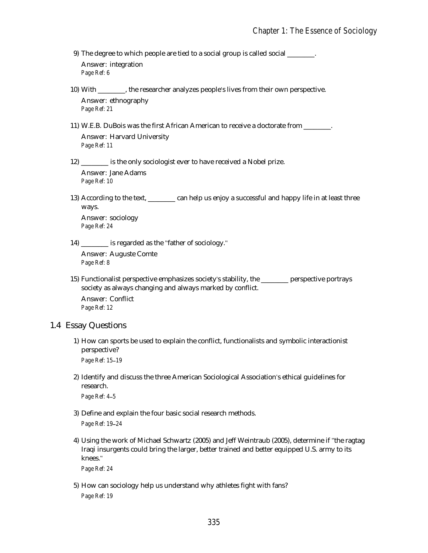9) The degree to which people are tied to a social group is called social \_\_\_\_\_\_\_\_. Answer: integration *Page Ref: 6*

- 10) With \_\_\_\_\_\_\_\_, the researcher analyzes people s lives from their own perspective. Answer: ethnography *Page Ref: 21*
- 11) W.E.B. DuBois was the first African American to receive a doctorate from \_\_\_\_\_\_\_\_. Answer: Harvard University *Page Ref: 11*
- 12) \_\_\_\_\_\_\_\_ is the only sociologist ever to have received a Nobel prize. Answer: Jane Adams *Page Ref: 10*
- 13) According to the text, \_\_\_\_\_\_\_\_ can help us enjoy a successful and happy life in at least three ways. Answer: sociology

*Page Ref: 24*

14) \_\_\_\_\_\_\_\_ is regarded as the "father of sociology."

Answer: Auguste Comte *Page Ref: 8*

15) Functionalist perspective emphasizes society s stability, the \_\_\_\_\_\_\_\_ perspective portrays society as always changing and always marked by conflict. Answer: Conflict *Page Ref: 12*

## 1.4 Essay Questions

- 1) How can sports be used to explain the conflict, functionalists and symbolic interactionist perspective? *Page Ref: 15 19*
- 2) Identify and discuss the three American Sociological Association's ethical guidelines for research.

*Page Ref: 4 5*

- 3) Define and explain the four basic social research methods. *Page Ref: 19 24*
- 4) Using the work of Michael Schwartz (2005) and Jeff Weintraub (2005), determine if "the ragtag Iraqi insurgents could bring the larger, better trained and better equipped U.S. army to its knees.

*Page Ref: 24*

5) How can sociology help us understand why athletes fight with fans? *Page Ref: 19*